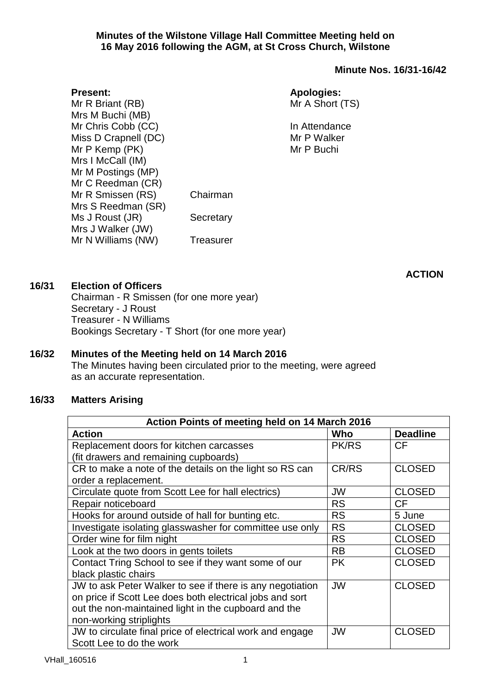#### **Minutes of the Wilstone Village Hall Committee Meeting held on 16 May 2016 following the AGM, at St Cross Church, Wilstone**

# **Minute Nos. 16/31-16/42**

Mr R Briant (RB) Mrs M Buchi (MB) Mr Chris Cobb (CC) Miss D Crapnell (DC) Mr P Kemp (PK) Mrs I McCall (IM) Mr M Postings (MP) Mr C Reedman (CR) Mr R Smissen (RS) Chairman Mrs S Reedman (SR) Ms J Roust (JR) Secretary Mrs J Walker (JW) Mr N Williams (NW) Treasurer

# **Apologies:**

Mr A Short (TS)

In Attendance Mr P Walker Mr P Buchi

**16/31 Election of Officers**

**Present:**

Chairman - R Smissen (for one more year) Secretary - J Roust Treasurer - N Williams Bookings Secretary - T Short (for one more year)

### **16/32 Minutes of the Meeting held on 14 March 2016** The Minutes having been circulated prior to the meeting, were agreed as an accurate representation.

### **16/33 Matters Arising**

| Action Points of meeting held on 14 March 2016            |              |                 |  |  |
|-----------------------------------------------------------|--------------|-----------------|--|--|
| <b>Action</b>                                             | Who          | <b>Deadline</b> |  |  |
| Replacement doors for kitchen carcasses                   | <b>PK/RS</b> | <b>CF</b>       |  |  |
| (fit drawers and remaining cupboards)                     |              |                 |  |  |
| CR to make a note of the details on the light so RS can   | CR/RS        | <b>CLOSED</b>   |  |  |
| order a replacement.                                      |              |                 |  |  |
| Circulate quote from Scott Lee for hall electrics)        | JW           | <b>CLOSED</b>   |  |  |
| Repair noticeboard                                        | <b>RS</b>    | <b>CF</b>       |  |  |
| Hooks for around outside of hall for bunting etc.         | <b>RS</b>    | 5 June          |  |  |
| Investigate isolating glasswasher for committee use only  | <b>RS</b>    | <b>CLOSED</b>   |  |  |
| Order wine for film night                                 | <b>RS</b>    | <b>CLOSED</b>   |  |  |
| Look at the two doors in gents toilets                    | <b>RB</b>    | <b>CLOSED</b>   |  |  |
| Contact Tring School to see if they want some of our      | <b>PK</b>    | <b>CLOSED</b>   |  |  |
| black plastic chairs                                      |              |                 |  |  |
| JW to ask Peter Walker to see if there is any negotiation | <b>JW</b>    | <b>CLOSED</b>   |  |  |
| on price if Scott Lee does both electrical jobs and sort  |              |                 |  |  |
| out the non-maintained light in the cupboard and the      |              |                 |  |  |
| non-working striplights                                   |              |                 |  |  |
| JW to circulate final price of electrical work and engage | JW           | <b>CLOSED</b>   |  |  |
| Scott Lee to do the work                                  |              |                 |  |  |

**ACTION**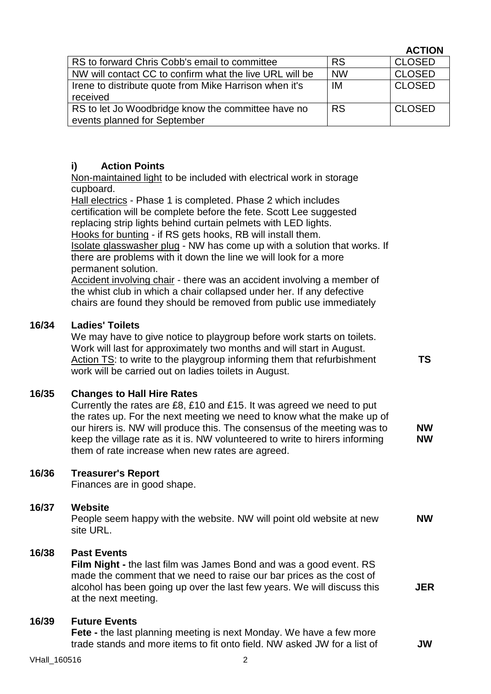|                                                         |           | <b>ACTION</b> |
|---------------------------------------------------------|-----------|---------------|
| RS to forward Chris Cobb's email to committee           | <b>RS</b> | <b>CLOSED</b> |
| NW will contact CC to confirm what the live URL will be | <b>NW</b> | <b>CLOSED</b> |
| Irene to distribute quote from Mike Harrison when it's  | IM        | <b>CLOSED</b> |
| received                                                |           |               |
| RS to let Jo Woodbridge know the committee have no      | <b>RS</b> | <b>CLOSED</b> |
| events planned for September                            |           |               |

# **i) Action Points**

Non-maintained light to be included with electrical work in storage cupboard.

Hall electrics - Phase 1 is completed. Phase 2 which includes certification will be complete before the fete. Scott Lee suggested replacing strip lights behind curtain pelmets with LED lights. Hooks for bunting - if RS gets hooks, RB will install them. Isolate glasswasher plug - NW has come up with a solution that works. If there are problems with it down the line we will look for a more permanent solution. Accident involving chair - there was an accident involving a member of the whist club in which a chair collapsed under her. If any defective chairs are found they should be removed from public use immediately **16/34 Ladies' Toilets** We may have to give notice to playgroup before work starts on toilets. Work will last for approximately two months and will start in August. Action TS: to write to the playgroup informing them that refurbishment work will be carried out on ladies toilets in August. **TS 16/35 Changes to Hall Hire Rates** Currently the rates are £8, £10 and £15. It was agreed we need to put the rates up. For the next meeting we need to know what the make up of our hirers is. NW will produce this. The consensus of the meeting was to keep the village rate as it is. NW volunteered to write to hirers informing them of rate increase when new rates are agreed. **NW NW 16/36 Treasurer's Report** Finances are in good shape. **16/37 Website**

People seem happy with the website. NW will point old website at new site URL. **NW**

#### **16/38 Past Events**

**Film Night -** the last film was James Bond and was a good event. RS made the comment that we need to raise our bar prices as the cost of alcohol has been going up over the last few years. We will discuss this at the next meeting. **JER**

#### **16/39 Future Events**

**Fete** - the last planning meeting is next Monday. We have a few more trade stands and more items to fit onto field. NW asked JW for a list of **JW**